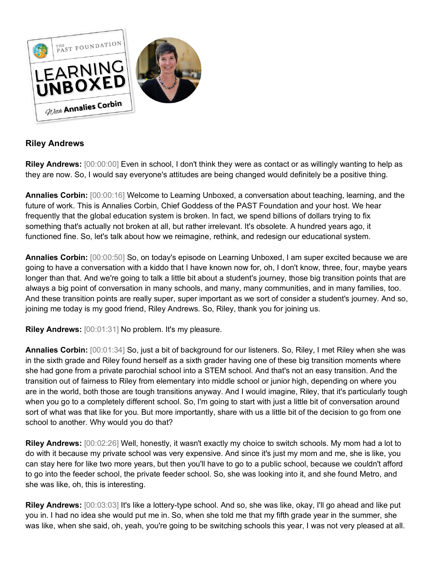

## **Riley Andrews**

**Riley Andrews:** [00:00:00] Even in school, I don't think they were as contact or as willingly wanting to help as they are now. So, I would say everyone's attitudes are being changed would definitely be a positive thing.

**Annalies Corbin:** [00:00:16] Welcome to Learning Unboxed, a conversation about teaching, learning, and the future of work. This is Annalies Corbin, Chief Goddess of the PAST Foundation and your host. We hear frequently that the global education system is broken. In fact, we spend billions of dollars trying to fix something that's actually not broken at all, but rather irrelevant. It's obsolete. A hundred years ago, it functioned fine. So, let's talk about how we reimagine, rethink, and redesign our educational system.

**Annalies Corbin:** [00:00:50] So, on today's episode on Learning Unboxed, I am super excited because we are going to have a conversation with a kiddo that I have known now for, oh, I don't know, three, four, maybe years longer than that. And we're going to talk a little bit about a student's journey, those big transition points that are always a big point of conversation in many schools, and many, many communities, and in many families, too. And these transition points are really super, super important as we sort of consider a student's journey. And so, joining me today is my good friend, Riley Andrews. So, Riley, thank you for joining us.

**Riley Andrews:** [00:01:31] No problem. It's my pleasure.

**Annalies Corbin:** [00:01:34] So, just a bit of background for our listeners. So, Riley, I met Riley when she was in the sixth grade and Riley found herself as a sixth grader having one of these big transition moments where she had gone from a private parochial school into a STEM school. And that's not an easy transition. And the transition out of fairness to Riley from elementary into middle school or junior high, depending on where you are in the world, both those are tough transitions anyway. And I would imagine, Riley, that it's particularly tough when you go to a completely different school. So, I'm going to start with just a little bit of conversation around sort of what was that like for you. But more importantly, share with us a little bit of the decision to go from one school to another. Why would you do that?

**Riley Andrews:** [00:02:26] Well, honestly, it wasn't exactly my choice to switch schools. My mom had a lot to do with it because my private school was very expensive. And since it's just my mom and me, she is like, you can stay here for like two more years, but then you'll have to go to a public school, because we couldn't afford to go into the feeder school, the private feeder school. So, she was looking into it, and she found Metro, and she was like, oh, this is interesting.

**Riley Andrews:** [00:03:03] It's like a lottery-type school. And so, she was like, okay, I'll go ahead and like put you in. I had no idea she would put me in. So, when she told me that my fifth grade year in the summer, she was like, when she said, oh, yeah, you're going to be switching schools this year, I was not very pleased at all.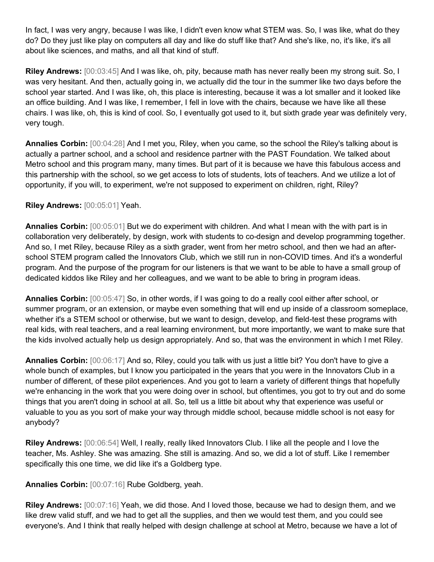In fact, I was very angry, because I was like, I didn't even know what STEM was. So, I was like, what do they do? Do they just like play on computers all day and like do stuff like that? And she's like, no, it's like, it's all about like sciences, and maths, and all that kind of stuff.

**Riley Andrews:** [00:03:45] And I was like, oh, pity, because math has never really been my strong suit. So, I was very hesitant. And then, actually going in, we actually did the tour in the summer like two days before the school year started. And I was like, oh, this place is interesting, because it was a lot smaller and it looked like an office building. And I was like, I remember, I fell in love with the chairs, because we have like all these chairs. I was like, oh, this is kind of cool. So, I eventually got used to it, but sixth grade year was definitely very, very tough.

**Annalies Corbin:** [00:04:28] And I met you, Riley, when you came, so the school the Riley's talking about is actually a partner school, and a school and residence partner with the PAST Foundation. We talked about Metro school and this program many, many times. But part of it is because we have this fabulous access and this partnership with the school, so we get access to lots of students, lots of teachers. And we utilize a lot of opportunity, if you will, to experiment, we're not supposed to experiment on children, right, Riley?

## **Riley Andrews:** [00:05:01] Yeah.

**Annalies Corbin:** [00:05:01] But we do experiment with children. And what I mean with the with part is in collaboration very deliberately, by design, work with students to co-design and develop programming together. And so, I met Riley, because Riley as a sixth grader, went from her metro school, and then we had an afterschool STEM program called the Innovators Club, which we still run in non-COVID times. And it's a wonderful program. And the purpose of the program for our listeners is that we want to be able to have a small group of dedicated kiddos like Riley and her colleagues, and we want to be able to bring in program ideas.

**Annalies Corbin:** [00:05:47] So, in other words, if I was going to do a really cool either after school, or summer program, or an extension, or maybe even something that will end up inside of a classroom someplace, whether it's a STEM school or otherwise, but we want to design, develop, and field-test these programs with real kids, with real teachers, and a real learning environment, but more importantly, we want to make sure that the kids involved actually help us design appropriately. And so, that was the environment in which I met Riley.

**Annalies Corbin:** [00:06:17] And so, Riley, could you talk with us just a little bit? You don't have to give a whole bunch of examples, but I know you participated in the years that you were in the Innovators Club in a number of different, of these pilot experiences. And you got to learn a variety of different things that hopefully we're enhancing in the work that you were doing over in school, but oftentimes, you got to try out and do some things that you aren't doing in school at all. So, tell us a little bit about why that experience was useful or valuable to you as you sort of make your way through middle school, because middle school is not easy for anybody?

**Riley Andrews:** [00:06:54] Well, I really, really liked Innovators Club. I like all the people and I love the teacher, Ms. Ashley. She was amazing. She still is amazing. And so, we did a lot of stuff. Like I remember specifically this one time, we did like it's a Goldberg type.

**Annalies Corbin:** [00:07:16] Rube Goldberg, yeah.

**Riley Andrews:** [00:07:16] Yeah, we did those. And I loved those, because we had to design them, and we like drew valid stuff, and we had to get all the supplies, and then we would test them, and you could see everyone's. And I think that really helped with design challenge at school at Metro, because we have a lot of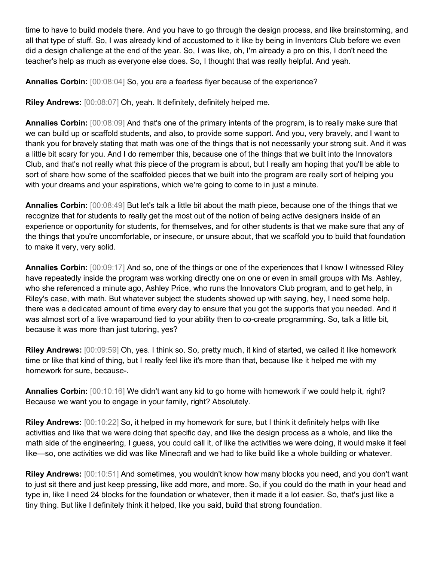time to have to build models there. And you have to go through the design process, and like brainstorming, and all that type of stuff. So, I was already kind of accustomed to it like by being in Inventors Club before we even did a design challenge at the end of the year. So, I was like, oh, I'm already a pro on this, I don't need the teacher's help as much as everyone else does. So, I thought that was really helpful. And yeah.

**Annalies Corbin:**  $[00:08:04]$  So, you are a fearless flyer because of the experience?

**Riley Andrews:** [00:08:07] Oh, yeah. It definitely, definitely helped me.

**Annalies Corbin:** [00:08:09] And that's one of the primary intents of the program, is to really make sure that we can build up or scaffold students, and also, to provide some support. And you, very bravely, and I want to thank you for bravely stating that math was one of the things that is not necessarily your strong suit. And it was a little bit scary for you. And I do remember this, because one of the things that we built into the Innovators Club, and that's not really what this piece of the program is about, but I really am hoping that you'll be able to sort of share how some of the scaffolded pieces that we built into the program are really sort of helping you with your dreams and your aspirations, which we're going to come to in just a minute.

**Annalies Corbin:** [00:08:49] But let's talk a little bit about the math piece, because one of the things that we recognize that for students to really get the most out of the notion of being active designers inside of an experience or opportunity for students, for themselves, and for other students is that we make sure that any of the things that you're uncomfortable, or insecure, or unsure about, that we scaffold you to build that foundation to make it very, very solid.

**Annalies Corbin:** [00:09:17] And so, one of the things or one of the experiences that I know I witnessed Riley have repeatedly inside the program was working directly one on one or even in small groups with Ms. Ashley, who she referenced a minute ago, Ashley Price, who runs the Innovators Club program, and to get help, in Riley's case, with math. But whatever subject the students showed up with saying, hey, I need some help, there was a dedicated amount of time every day to ensure that you got the supports that you needed. And it was almost sort of a live wraparound tied to your ability then to co-create programming. So, talk a little bit, because it was more than just tutoring, yes?

**Riley Andrews:** [00:09:59] Oh, yes. I think so. So, pretty much, it kind of started, we called it like homework time or like that kind of thing, but I really feel like it's more than that, because like it helped me with my homework for sure, because-.

**Annalies Corbin:** [00:10:16] We didn't want any kid to go home with homework if we could help it, right? Because we want you to engage in your family, right? Absolutely.

**Riley Andrews:** [00:10:22] So, it helped in my homework for sure, but I think it definitely helps with like activities and like that we were doing that specific day, and like the design process as a whole, and like the math side of the engineering, I guess, you could call it, of like the activities we were doing, it would make it feel like—so, one activities we did was like Minecraft and we had to like build like a whole building or whatever.

**Riley Andrews:** [00:10:51] And sometimes, you wouldn't know how many blocks you need, and you don't want to just sit there and just keep pressing, like add more, and more. So, if you could do the math in your head and type in, like I need 24 blocks for the foundation or whatever, then it made it a lot easier. So, that's just like a tiny thing. But like I definitely think it helped, like you said, build that strong foundation.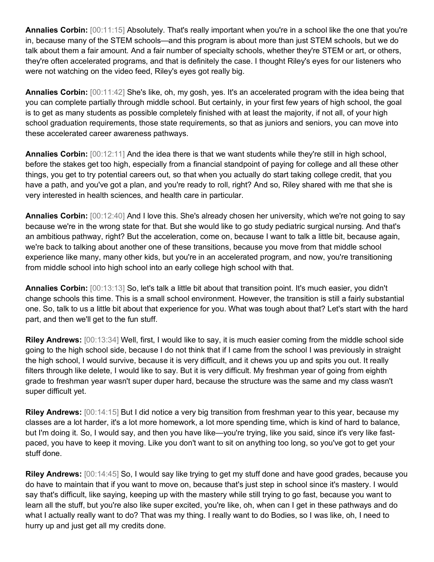**Annalies Corbin:** [00:11:15] Absolutely. That's really important when you're in a school like the one that you're in, because many of the STEM schools—and this program is about more than just STEM schools, but we do talk about them a fair amount. And a fair number of specialty schools, whether they're STEM or art, or others, they're often accelerated programs, and that is definitely the case. I thought Riley's eyes for our listeners who were not watching on the video feed, Riley's eyes got really big.

**Annalies Corbin:** [00:11:42] She's like, oh, my gosh, yes. It's an accelerated program with the idea being that you can complete partially through middle school. But certainly, in your first few years of high school, the goal is to get as many students as possible completely finished with at least the majority, if not all, of your high school graduation requirements, those state requirements, so that as juniors and seniors, you can move into these accelerated career awareness pathways.

**Annalies Corbin:** [00:12:11] And the idea there is that we want students while they're still in high school, before the stakes get too high, especially from a financial standpoint of paying for college and all these other things, you get to try potential careers out, so that when you actually do start taking college credit, that you have a path, and you've got a plan, and you're ready to roll, right? And so, Riley shared with me that she is very interested in health sciences, and health care in particular.

**Annalies Corbin:** [00:12:40] And I love this. She's already chosen her university, which we're not going to say because we're in the wrong state for that. But she would like to go study pediatric surgical nursing. And that's an ambitious pathway, right? But the acceleration, come on, because I want to talk a little bit, because again, we're back to talking about another one of these transitions, because you move from that middle school experience like many, many other kids, but you're in an accelerated program, and now, you're transitioning from middle school into high school into an early college high school with that.

**Annalies Corbin:** [00:13:13] So, let's talk a little bit about that transition point. It's much easier, you didn't change schools this time. This is a small school environment. However, the transition is still a fairly substantial one. So, talk to us a little bit about that experience for you. What was tough about that? Let's start with the hard part, and then we'll get to the fun stuff.

**Riley Andrews:** [00:13:34] Well, first, I would like to say, it is much easier coming from the middle school side going to the high school side, because I do not think that if I came from the school I was previously in straight the high school, I would survive, because it is very difficult, and it chews you up and spits you out. It really filters through like delete, I would like to say. But it is very difficult. My freshman year of going from eighth grade to freshman year wasn't super duper hard, because the structure was the same and my class wasn't super difficult yet.

**Riley Andrews:** [00:14:15] But I did notice a very big transition from freshman year to this year, because my classes are a lot harder, it's a lot more homework, a lot more spending time, which is kind of hard to balance, but I'm doing it. So, I would say, and then you have like—you're trying, like you said, since it's very like fastpaced, you have to keep it moving. Like you don't want to sit on anything too long, so you've got to get your stuff done.

**Riley Andrews:** [00:14:45] So, I would say like trying to get my stuff done and have good grades, because you do have to maintain that if you want to move on, because that's just step in school since it's mastery. I would say that's difficult, like saying, keeping up with the mastery while still trying to go fast, because you want to learn all the stuff, but you're also like super excited, you're like, oh, when can I get in these pathways and do what I actually really want to do? That was my thing. I really want to do Bodies, so I was like, oh, I need to hurry up and just get all my credits done.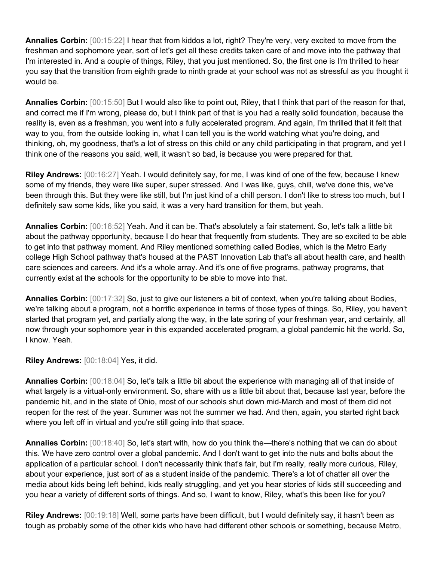**Annalies Corbin:** [00:15:22] I hear that from kiddos a lot, right? They're very, very excited to move from the freshman and sophomore year, sort of let's get all these credits taken care of and move into the pathway that I'm interested in. And a couple of things, Riley, that you just mentioned. So, the first one is I'm thrilled to hear you say that the transition from eighth grade to ninth grade at your school was not as stressful as you thought it would be.

**Annalies Corbin:** [00:15:50] But I would also like to point out, Riley, that I think that part of the reason for that, and correct me if I'm wrong, please do, but I think part of that is you had a really solid foundation, because the reality is, even as a freshman, you went into a fully accelerated program. And again, I'm thrilled that it felt that way to you, from the outside looking in, what I can tell you is the world watching what you're doing, and thinking, oh, my goodness, that's a lot of stress on this child or any child participating in that program, and yet I think one of the reasons you said, well, it wasn't so bad, is because you were prepared for that.

**Riley Andrews:** [00:16:27] Yeah. I would definitely say, for me, I was kind of one of the few, because I knew some of my friends, they were like super, super stressed. And I was like, guys, chill, we've done this, we've been through this. But they were like still, but I'm just kind of a chill person. I don't like to stress too much, but I definitely saw some kids, like you said, it was a very hard transition for them, but yeah.

**Annalies Corbin:** [00:16:52] Yeah. And it can be. That's absolutely a fair statement. So, let's talk a little bit about the pathway opportunity, because I do hear that frequently from students. They are so excited to be able to get into that pathway moment. And Riley mentioned something called Bodies, which is the Metro Early college High School pathway that's housed at the PAST Innovation Lab that's all about health care, and health care sciences and careers. And it's a whole array. And it's one of five programs, pathway programs, that currently exist at the schools for the opportunity to be able to move into that.

**Annalies Corbin:** [00:17:32] So, just to give our listeners a bit of context, when you're talking about Bodies, we're talking about a program, not a horrific experience in terms of those types of things. So, Riley, you haven't started that program yet, and partially along the way, in the late spring of your freshman year, and certainly, all now through your sophomore year in this expanded accelerated program, a global pandemic hit the world. So, I know. Yeah.

**Riley Andrews:** [00:18:04] Yes, it did.

**Annalies Corbin:** [00:18:04] So, let's talk a little bit about the experience with managing all of that inside of what largely is a virtual-only environment. So, share with us a little bit about that, because last year, before the pandemic hit, and in the state of Ohio, most of our schools shut down mid-March and most of them did not reopen for the rest of the year. Summer was not the summer we had. And then, again, you started right back where you left off in virtual and you're still going into that space.

**Annalies Corbin:** [00:18:40] So, let's start with, how do you think the—there's nothing that we can do about this. We have zero control over a global pandemic. And I don't want to get into the nuts and bolts about the application of a particular school. I don't necessarily think that's fair, but I'm really, really more curious, Riley, about your experience, just sort of as a student inside of the pandemic. There's a lot of chatter all over the media about kids being left behind, kids really struggling, and yet you hear stories of kids still succeeding and you hear a variety of different sorts of things. And so, I want to know, Riley, what's this been like for you?

**Riley Andrews:** [00:19:18] Well, some parts have been difficult, but I would definitely say, it hasn't been as tough as probably some of the other kids who have had different other schools or something, because Metro,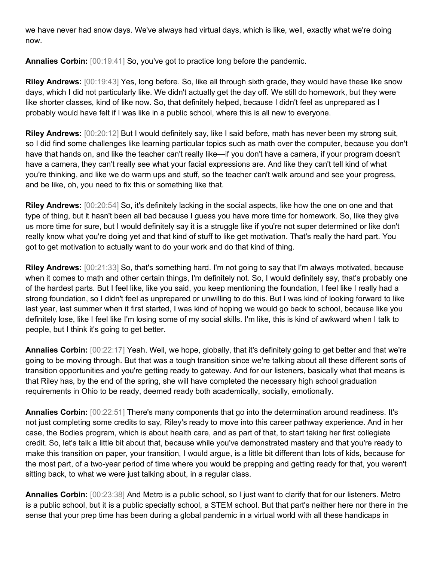we have never had snow days. We've always had virtual days, which is like, well, exactly what we're doing now.

**Annalies Corbin:** [00:19:41] So, you've got to practice long before the pandemic.

**Riley Andrews:** [00:19:43] Yes, long before. So, like all through sixth grade, they would have these like snow days, which I did not particularly like. We didn't actually get the day off. We still do homework, but they were like shorter classes, kind of like now. So, that definitely helped, because I didn't feel as unprepared as I probably would have felt if I was like in a public school, where this is all new to everyone.

**Riley Andrews:** [00:20:12] But I would definitely say, like I said before, math has never been my strong suit, so I did find some challenges like learning particular topics such as math over the computer, because you don't have that hands on, and like the teacher can't really like—if you don't have a camera, if your program doesn't have a camera, they can't really see what your facial expressions are. And like they can't tell kind of what you're thinking, and like we do warm ups and stuff, so the teacher can't walk around and see your progress, and be like, oh, you need to fix this or something like that.

**Riley Andrews:** [00:20:54] So, it's definitely lacking in the social aspects, like how the one on one and that type of thing, but it hasn't been all bad because I guess you have more time for homework. So, like they give us more time for sure, but I would definitely say it is a struggle like if you're not super determined or like don't really know what you're doing yet and that kind of stuff to like get motivation. That's really the hard part. You got to get motivation to actually want to do your work and do that kind of thing.

**Riley Andrews:** [00:21:33] So, that's something hard. I'm not going to say that I'm always motivated, because when it comes to math and other certain things, I'm definitely not. So, I would definitely say, that's probably one of the hardest parts. But I feel like, like you said, you keep mentioning the foundation, I feel like I really had a strong foundation, so I didn't feel as unprepared or unwilling to do this. But I was kind of looking forward to like last year, last summer when it first started, I was kind of hoping we would go back to school, because like you definitely lose, like I feel like I'm losing some of my social skills. I'm like, this is kind of awkward when I talk to people, but I think it's going to get better.

**Annalies Corbin:** [00:22:17] Yeah. Well, we hope, globally, that it's definitely going to get better and that we're going to be moving through. But that was a tough transition since we're talking about all these different sorts of transition opportunities and you're getting ready to gateway. And for our listeners, basically what that means is that Riley has, by the end of the spring, she will have completed the necessary high school graduation requirements in Ohio to be ready, deemed ready both academically, socially, emotionally.

**Annalies Corbin:** [00:22:51] There's many components that go into the determination around readiness. It's not just completing some credits to say, Riley's ready to move into this career pathway experience. And in her case, the Bodies program, which is about health care, and as part of that, to start taking her first collegiate credit. So, let's talk a little bit about that, because while you've demonstrated mastery and that you're ready to make this transition on paper, your transition, I would argue, is a little bit different than lots of kids, because for the most part, of a two-year period of time where you would be prepping and getting ready for that, you weren't sitting back, to what we were just talking about, in a regular class.

**Annalies Corbin:** [00:23:38] And Metro is a public school, so I just want to clarify that for our listeners. Metro is a public school, but it is a public specialty school, a STEM school. But that part's neither here nor there in the sense that your prep time has been during a global pandemic in a virtual world with all these handicaps in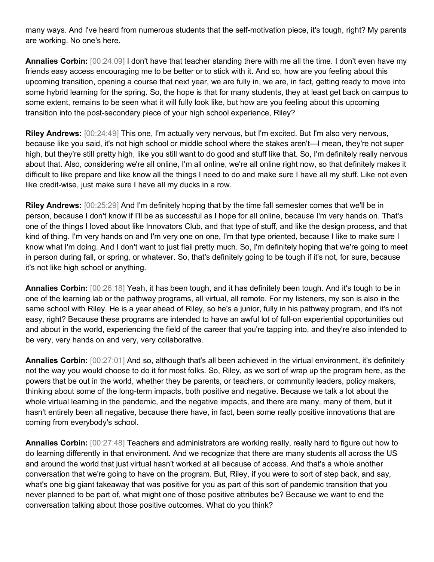many ways. And I've heard from numerous students that the self-motivation piece, it's tough, right? My parents are working. No one's here.

**Annalies Corbin:** [00:24:09] I don't have that teacher standing there with me all the time. I don't even have my friends easy access encouraging me to be better or to stick with it. And so, how are you feeling about this upcoming transition, opening a course that next year, we are fully in, we are, in fact, getting ready to move into some hybrid learning for the spring. So, the hope is that for many students, they at least get back on campus to some extent, remains to be seen what it will fully look like, but how are you feeling about this upcoming transition into the post-secondary piece of your high school experience, Riley?

**Riley Andrews:** [00:24:49] This one, I'm actually very nervous, but I'm excited. But I'm also very nervous, because like you said, it's not high school or middle school where the stakes aren't—I mean, they're not super high, but they're still pretty high, like you still want to do good and stuff like that. So, I'm definitely really nervous about that. Also, considering we're all online, I'm all online, we're all online right now, so that definitely makes it difficult to like prepare and like know all the things I need to do and make sure I have all my stuff. Like not even like credit-wise, just make sure I have all my ducks in a row.

**Riley Andrews:** [00:25:29] And I'm definitely hoping that by the time fall semester comes that we'll be in person, because I don't know if I'll be as successful as I hope for all online, because I'm very hands on. That's one of the things I loved about like Innovators Club, and that type of stuff, and like the design process, and that kind of thing. I'm very hands on and I'm very one on one, I'm that type oriented, because I like to make sure I know what I'm doing. And I don't want to just flail pretty much. So, I'm definitely hoping that we're going to meet in person during fall, or spring, or whatever. So, that's definitely going to be tough if it's not, for sure, because it's not like high school or anything.

**Annalies Corbin:** [00:26:18] Yeah, it has been tough, and it has definitely been tough. And it's tough to be in one of the learning lab or the pathway programs, all virtual, all remote. For my listeners, my son is also in the same school with Riley. He is a year ahead of Riley, so he's a junior, fully in his pathway program, and it's not easy, right? Because these programs are intended to have an awful lot of full-on experiential opportunities out and about in the world, experiencing the field of the career that you're tapping into, and they're also intended to be very, very hands on and very, very collaborative.

**Annalies Corbin:** [00:27:01] And so, although that's all been achieved in the virtual environment, it's definitely not the way you would choose to do it for most folks. So, Riley, as we sort of wrap up the program here, as the powers that be out in the world, whether they be parents, or teachers, or community leaders, policy makers, thinking about some of the long-term impacts, both positive and negative. Because we talk a lot about the whole virtual learning in the pandemic, and the negative impacts, and there are many, many of them, but it hasn't entirely been all negative, because there have, in fact, been some really positive innovations that are coming from everybody's school.

**Annalies Corbin:** [00:27:48] Teachers and administrators are working really, really hard to figure out how to do learning differently in that environment. And we recognize that there are many students all across the US and around the world that just virtual hasn't worked at all because of access. And that's a whole another conversation that we're going to have on the program. But, Riley, if you were to sort of step back, and say, what's one big giant takeaway that was positive for you as part of this sort of pandemic transition that you never planned to be part of, what might one of those positive attributes be? Because we want to end the conversation talking about those positive outcomes. What do you think?